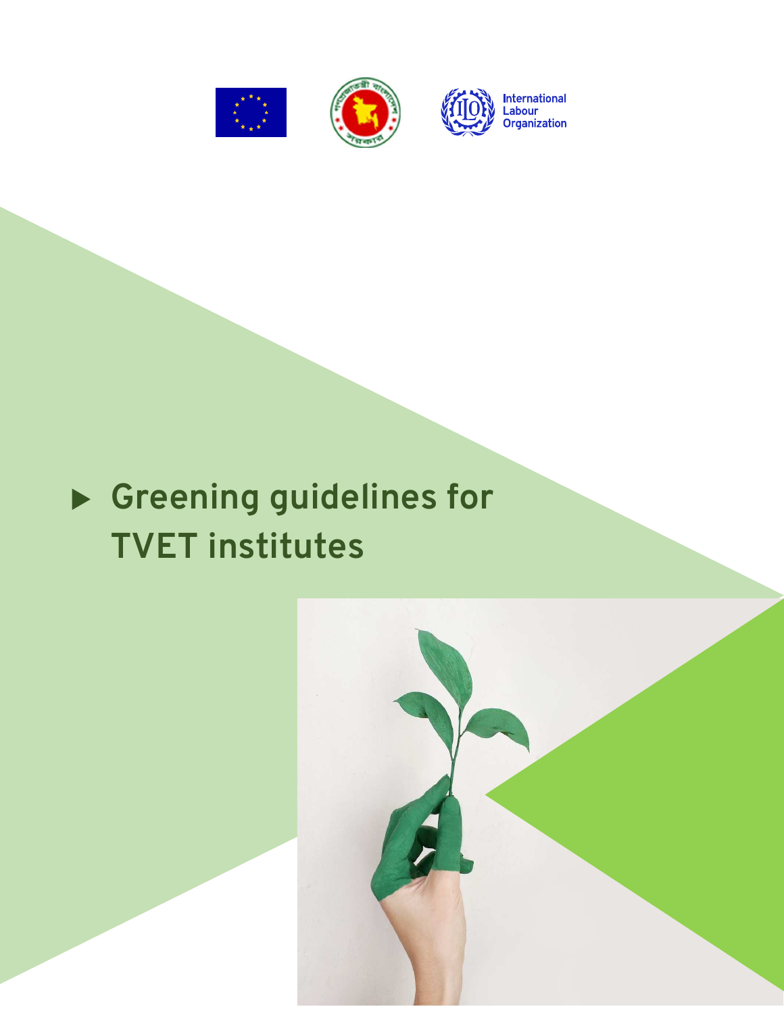





# **Greening guidelines for TVET institutes**

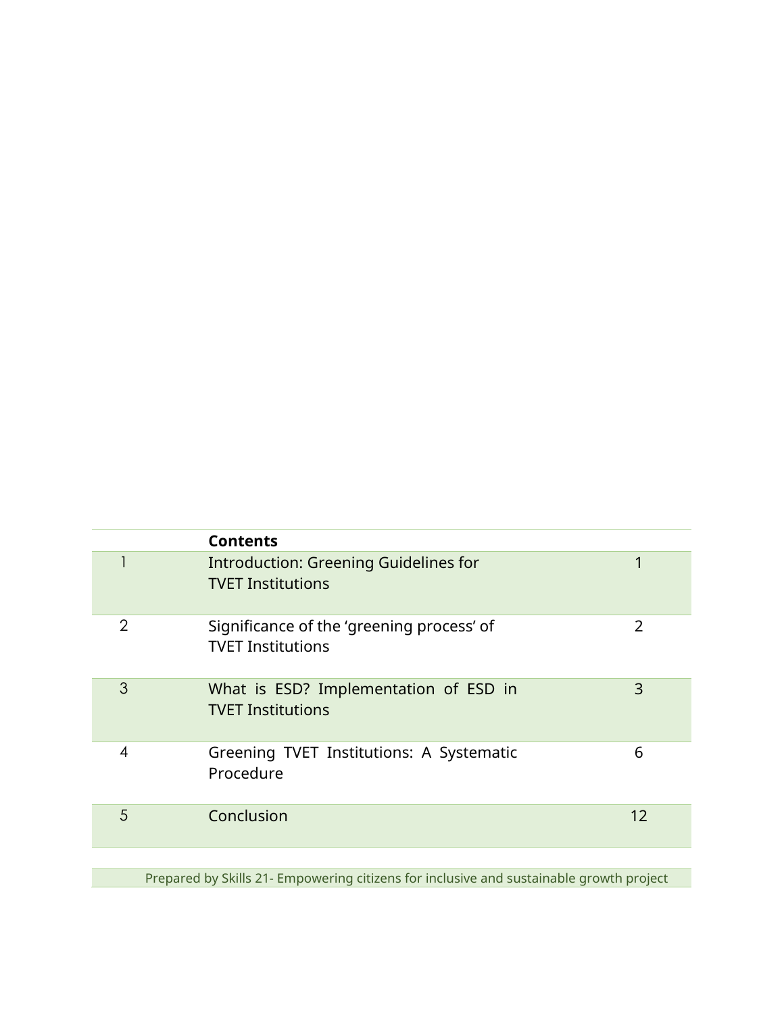|                | <b>Contents</b>                                                          |                |
|----------------|--------------------------------------------------------------------------|----------------|
|                | <b>Introduction: Greening Guidelines for</b><br><b>TVET Institutions</b> | 1              |
| $\overline{2}$ | Significance of the 'greening process' of<br><b>TVET Institutions</b>    | $\overline{2}$ |
| 3              | What is ESD? Implementation of ESD in<br><b>TVET Institutions</b>        | 3              |
| 4              | Greening TVET Institutions: A Systematic<br>Procedure                    | 6              |
| 5              | Conclusion                                                               | 12             |
|                |                                                                          |                |

Prepared by Skills 21- Empowering citizens for inclusive and sustainable growth project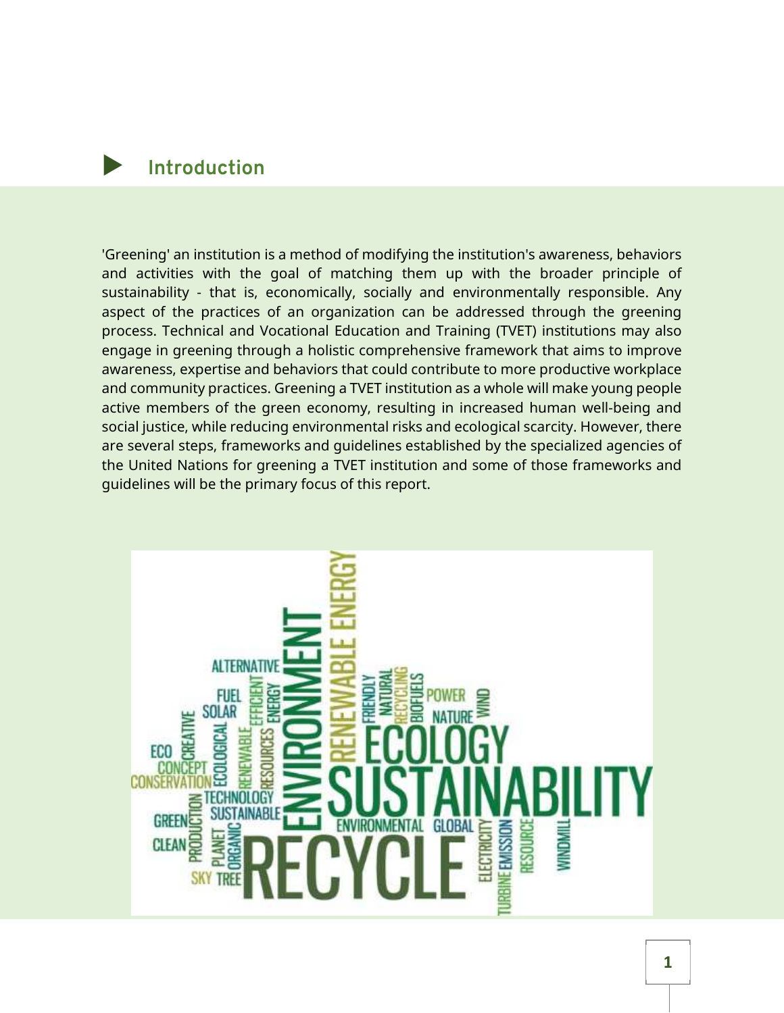# **Introduction**

'Greening' an institution is a method of modifying the institution's awareness, behaviors and activities with the goal of matching them up with the broader principle of sustainability - that is, economically, socially and environmentally responsible. Any aspect of the practices of an organization can be addressed through the greening process. Technical and Vocational Education and Training (TVET) institutions may also engage in greening through a holistic comprehensive framework that aims to improve awareness, expertise and behaviors that could contribute to more productive workplace and community practices. Greening a TVET institution as a whole will make young people active members of the green economy, resulting in increased human well-being and social justice, while reducing environmental risks and ecological scarcity. However, there are several steps, frameworks and guidelines established by the specialized agencies of the United Nations for greening a TVET institution and some of those frameworks and guidelines will be the primary focus of this report.

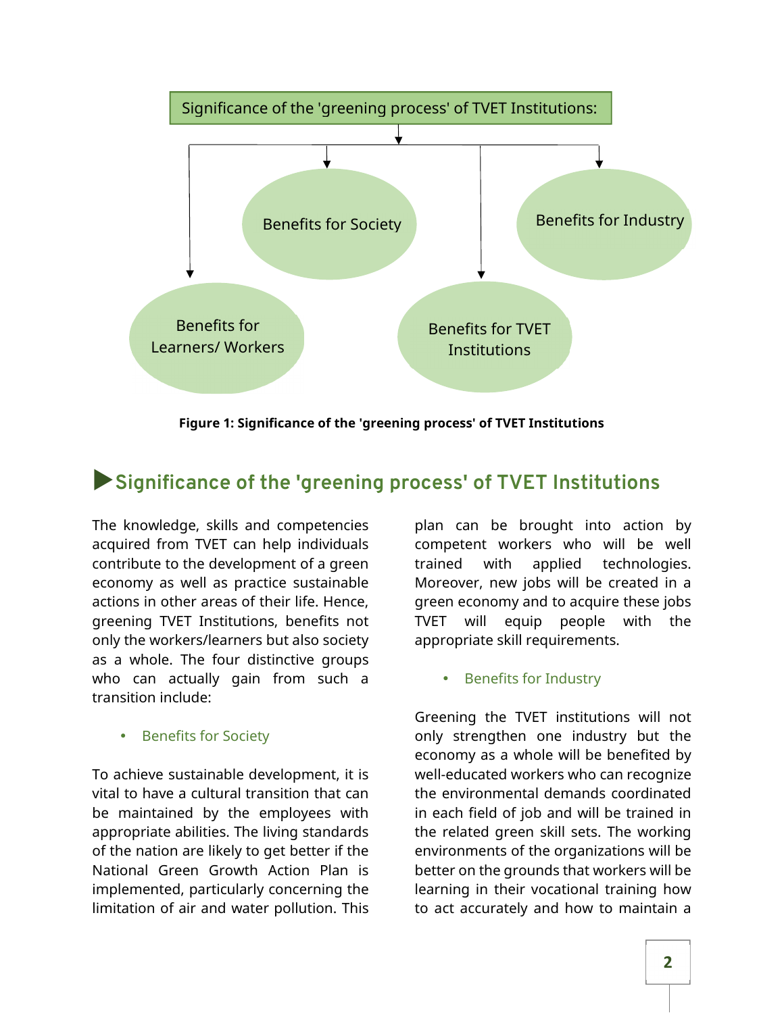

**Figure 1: Significance of the 'greening process' of TVET Institutions** 

# **Significance of the 'greening process' of TVET Institutions**

The knowledge, skills and competencies acquired from TVET can help individuals contribute to the development of a green economy as well as practice sustainable actions in other areas of their life. Hence, greening TVET Institutions, benefits not only the workers/learners but also society as a whole. The four distinctive groups who can actually gain from such a transition include:

• Benefits for Society

To achieve sustainable development, it is vital to have a cultural transition that can be maintained by the employees with appropriate abilities. The living standards of the nation are likely to get better if the National Green Growth Action Plan is implemented, particularly concerning the limitation of air and water pollution. This

plan can be brought into action by competent workers who will be well trained with applied technologies. Moreover, new jobs will be created in a green economy and to acquire these jobs TVET will equip people with the appropriate skill requirements.

Benefits for Industry

Greening the TVET institutions will not only strengthen one industry but the economy as a whole will be benefited by well-educated workers who can recognize the environmental demands coordinated in each field of job and will be trained in the related green skill sets. The working environments of the organizations will be better on the grounds that workers will be learning in their vocational training how to act accurately and how to maintain a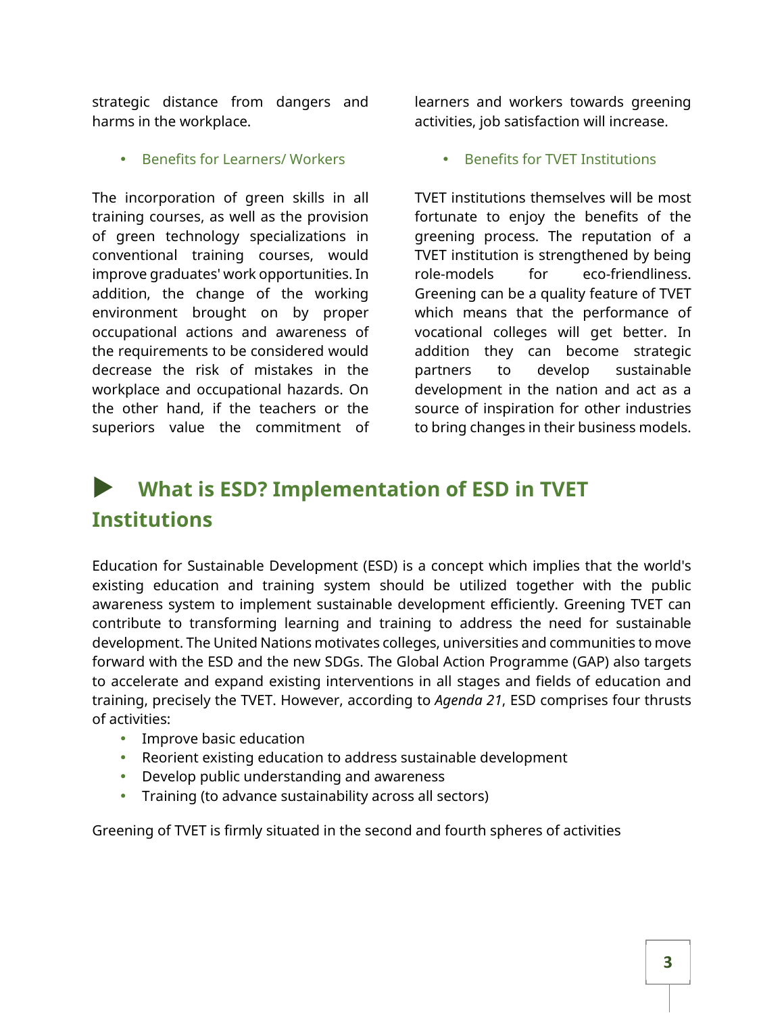strategic distance from dangers and harms in the workplace.

• Benefits for Learners/ Workers

The incorporation of green skills in all training courses, as well as the provision of green technology specializations in conventional training courses, would improve graduates' work opportunities. In addition, the change of the working environment brought on by proper occupational actions and awareness of the requirements to be considered would decrease the risk of mistakes in the workplace and occupational hazards. On the other hand, if the teachers or the superiors value the commitment of

learners and workers towards greening activities, job satisfaction will increase.

• Benefits for TVET Institutions

TVET institutions themselves will be most fortunate to enjoy the benefits of the greening process. The reputation of a TVET institution is strengthened by being role-models for eco-friendliness. Greening can be a quality feature of TVET which means that the performance of vocational colleges will get better. In addition they can become strategic partners to develop sustainable development in the nation and act as a source of inspiration for other industries to bring changes in their business models.

# **What is ESD? Implementation of ESD in TVET Institutions**

Education for Sustainable Development (ESD) is a concept which implies that the world's existing education and training system should be utilized together with the public awareness system to implement sustainable development efficiently. Greening TVET can contribute to transforming learning and training to address the need for sustainable development. The United Nations motivates colleges, universities and communities to move forward with the ESD and the new SDGs. The Global Action Programme (GAP) also targets to accelerate and expand existing interventions in all stages and fields of education and training, precisely the TVET. However, according to *Agenda 21*, ESD comprises four thrusts of activities:

- Improve basic education
- Reorient existing education to address sustainable development
- Develop public understanding and awareness
- Training (to advance sustainability across all sectors)

Greening of TVET is firmly situated in the second and fourth spheres of activities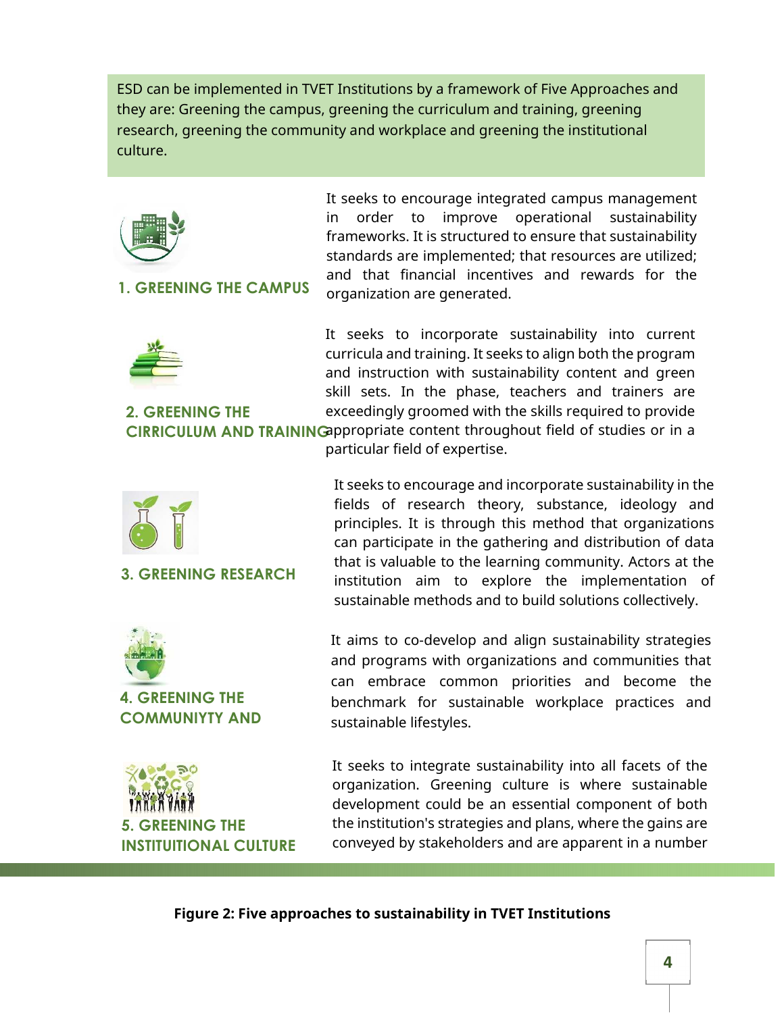ESD can be implemented in TVET Institutions by a framework of Five Approaches and they are: Greening the campus, greening the curriculum and training, greening research, greening the community and workplace and greening the institutional culture.



### **1. GREENING THE CAMPUS**

It seeks to encourage integrated campus management in order to improve operational sustainability frameworks. It is structured to ensure that sustainability standards are implemented; that resources are utilized; and that financial incentives and rewards for the organization are generated.



**2. GREENING THE** 

It seeks to incorporate sustainability into current curricula and training. It seeks to align both the program and instruction with sustainability content and green skill sets. In the phase, teachers and trainers are exceedingly groomed with the skills required to provide

It seeks to encourage and incorporate sustainability in the fields of research theory, substance, ideology and principles. It is through this method that organizations can participate in the gathering and distribution of data that is valuable to the learning community. Actors at the institution aim to explore the implementation of sustainable methods and to build solutions collectively.

**CIRRICULUM AND TRAINING** appropriate content throughout field of studies or in a particular field of expertise.



# **3. GREENING RESEARCH**



**4. GREENING THE COMMUNIYTY AND**  It aims to co-develop and align sustainability strategies and programs with organizations and communities that can embrace common priorities and become the benchmark for sustainable workplace practices and sustainable lifestyles.

*EENING THE* **INSTITUITIONAL CULTURE** It seeks to integrate sustainability into all facets of the organization. Greening culture is where sustainable development could be an essential component of both the institution's strategies and plans, where the gains are conveyed by stakeholders and are apparent in a number

**Figure 2: Five approaches to sustainability in TVET Institutions**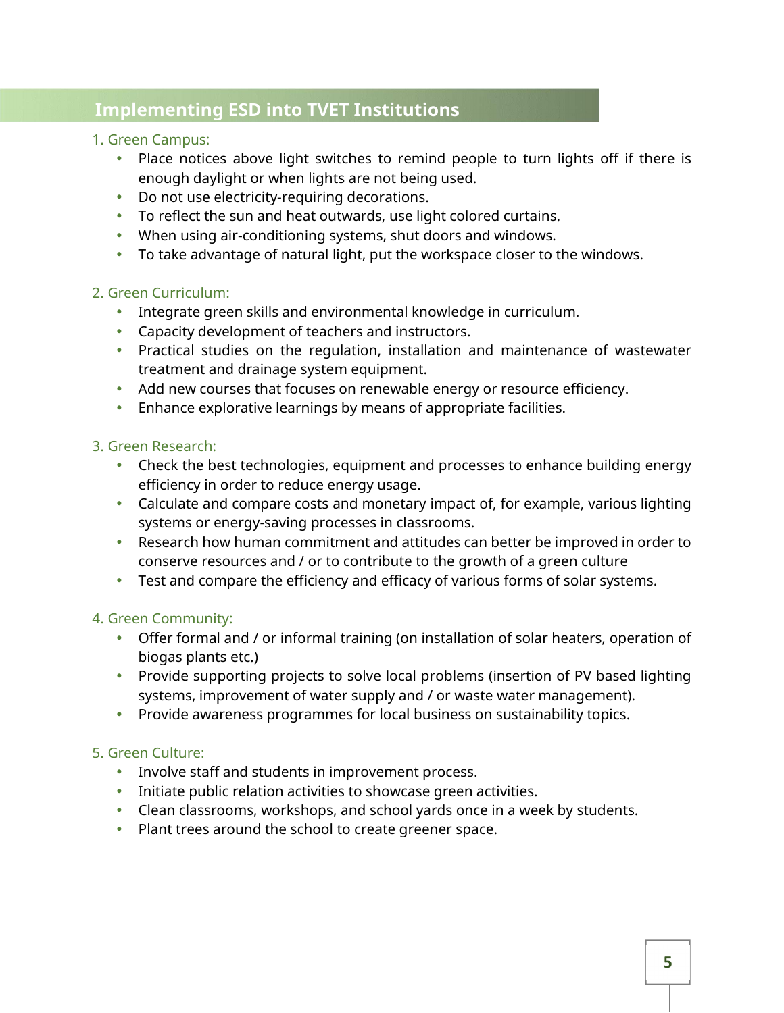# **Implementing ESD into TVET Institutions**

### 1. Green Campus:

- Place notices above light switches to remind people to turn lights off if there is enough daylight or when lights are not being used.
- Do not use electricity-requiring decorations.
- To reflect the sun and heat outwards, use light colored curtains.
- When using air-conditioning systems, shut doors and windows.
- To take advantage of natural light, put the workspace closer to the windows.

### 2. Green Curriculum:

- Integrate green skills and environmental knowledge in curriculum.
- Capacity development of teachers and instructors.
- Practical studies on the regulation, installation and maintenance of wastewater treatment and drainage system equipment.
- Add new courses that focuses on renewable energy or resource efficiency.
- Enhance explorative learnings by means of appropriate facilities.

### 3. Green Research:

- Check the best technologies, equipment and processes to enhance building energy efficiency in order to reduce energy usage.
- Calculate and compare costs and monetary impact of, for example, various lighting systems or energy-saving processes in classrooms.
- Research how human commitment and attitudes can better be improved in order to conserve resources and / or to contribute to the growth of a green culture
- Test and compare the efficiency and efficacy of various forms of solar systems.

# 4. Green Community:

- Offer formal and / or informal training (on installation of solar heaters, operation of biogas plants etc.)
- Provide supporting projects to solve local problems (insertion of PV based lighting systems, improvement of water supply and / or waste water management).
- Provide awareness programmes for local business on sustainability topics.

# 5. Green Culture:

- Involve staff and students in improvement process.
- Initiate public relation activities to showcase green activities.
- Clean classrooms, workshops, and school yards once in a week by students.
- Plant trees around the school to create greener space.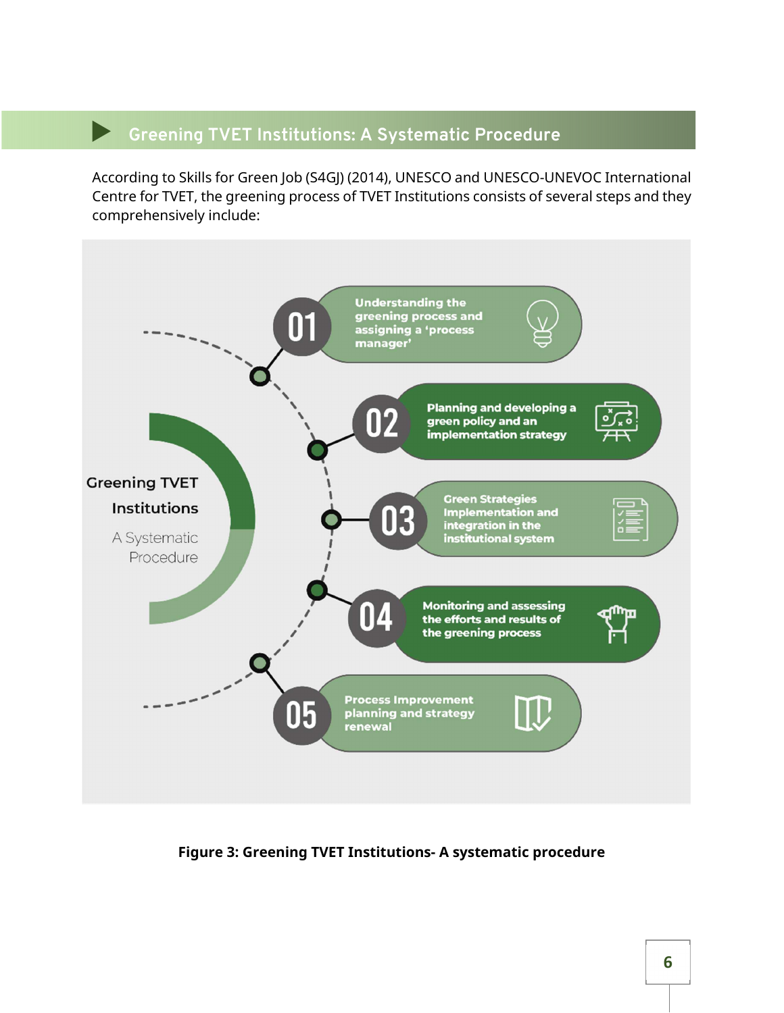# **Greening TVET Institutions: A Systematic Procedure**

According to Skills for Green Job (S4GJ) (2014), UNESCO and UNESCO-UNEVOC International Centre for TVET, the greening process of TVET Institutions consists of several steps and they comprehensively include:



**Figure 3: Greening TVET Institutions- A systematic procedure**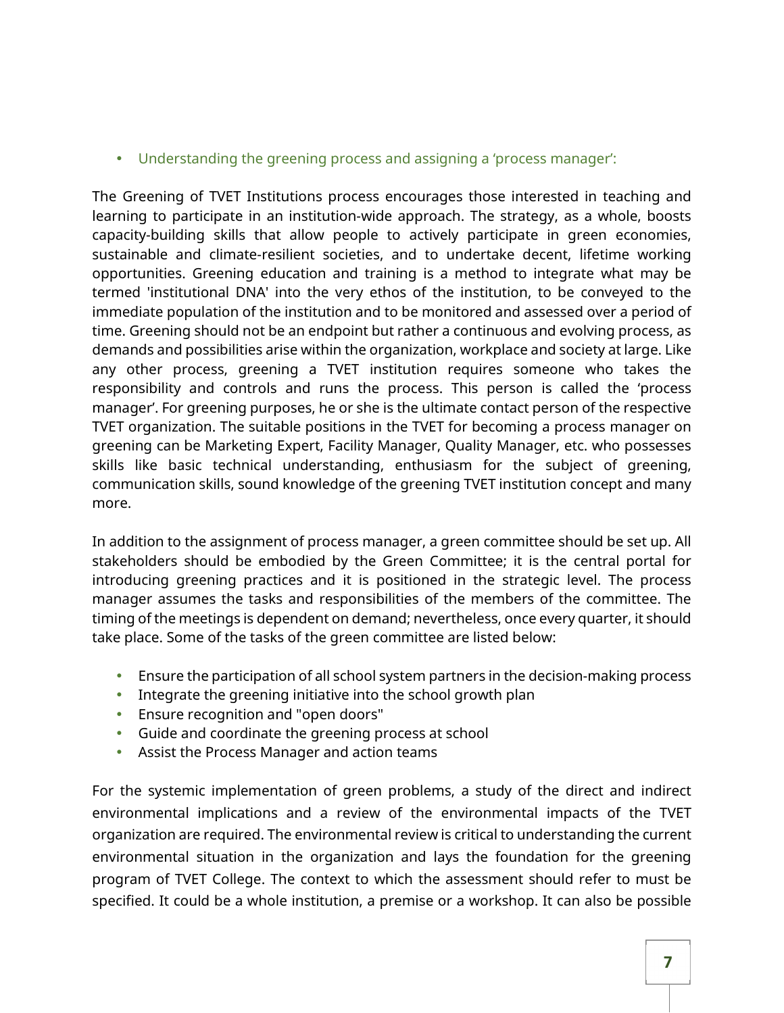• Understanding the greening process and assigning a 'process manager':

The Greening of TVET Institutions process encourages those interested in teaching and learning to participate in an institution-wide approach. The strategy, as a whole, boosts capacity-building skills that allow people to actively participate in green economies, sustainable and climate-resilient societies, and to undertake decent, lifetime working opportunities. Greening education and training is a method to integrate what may be termed 'institutional DNA' into the very ethos of the institution, to be conveyed to the immediate population of the institution and to be monitored and assessed over a period of time. Greening should not be an endpoint but rather a continuous and evolving process, as demands and possibilities arise within the organization, workplace and society at large. Like any other process, greening a TVET institution requires someone who takes the responsibility and controls and runs the process. This person is called the 'process manager'. For greening purposes, he or she is the ultimate contact person of the respective TVET organization. The suitable positions in the TVET for becoming a process manager on greening can be Marketing Expert, Facility Manager, Quality Manager, etc. who possesses skills like basic technical understanding, enthusiasm for the subject of greening, communication skills, sound knowledge of the greening TVET institution concept and many more.

In addition to the assignment of process manager, a green committee should be set up. All stakeholders should be embodied by the Green Committee; it is the central portal for introducing greening practices and it is positioned in the strategic level. The process manager assumes the tasks and responsibilities of the members of the committee. The timing of the meetings is dependent on demand; nevertheless, once every quarter, it should take place. Some of the tasks of the green committee are listed below:

- Ensure the participation of all school system partners in the decision-making process
- Integrate the greening initiative into the school growth plan
- Ensure recognition and "open doors"
- Guide and coordinate the greening process at school
- Assist the Process Manager and action teams

For the systemic implementation of green problems, a study of the direct and indirect environmental implications and a review of the environmental impacts of the TVET organization are required. The environmental review is critical to understanding the current environmental situation in the organization and lays the foundation for the greening program of TVET College. The context to which the assessment should refer to must be specified. It could be a whole institution, a premise or a workshop. It can also be possible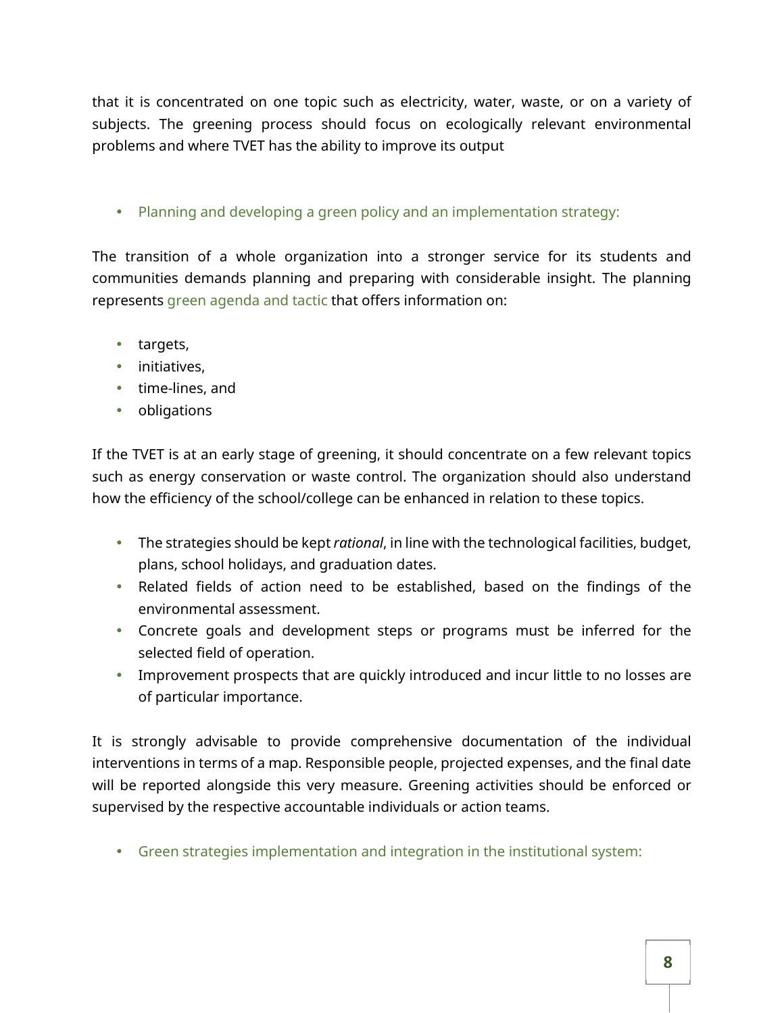that it is concentrated on one topic such as electricity, water, waste, or on a variety of subjects. The greening process should focus on ecologically relevant environmental problems and where TVET has the ability to improve its output

• Planning and developing a green policy and an implementation strategy:

The transition of a whole organization into a stronger service for its students and communities demands planning and preparing with considerable insight. The planning represents green agenda and tactic that offers information on:

- targets,
- initiatives,
- time-lines, and
- obligations

If the TVET is at an early stage of greening, it should concentrate on a few relevant topics such as energy conservation or waste control. The organization should also understand how the efficiency of the school/college can be enhanced in relation to these topics.

- The strategies should be kept *rational*, in line with the technological facilities, budget, plans, school holidays, and graduation dates.
- Related fields of action need to be established, based on the findings of the environmental assessment.
- Concrete goals and development steps or programs must be inferred for the selected field of operation.
- Improvement prospects that are quickly introduced and incur little to no losses are of particular importance.

It is strongly advisable to provide comprehensive documentation of the individual interventions in terms of a map. Responsible people, projected expenses, and the final date will be reported alongside this very measure. Greening activities should be enforced or supervised by the respective accountable individuals or action teams.

• Green strategies implementation and integration in the institutional system: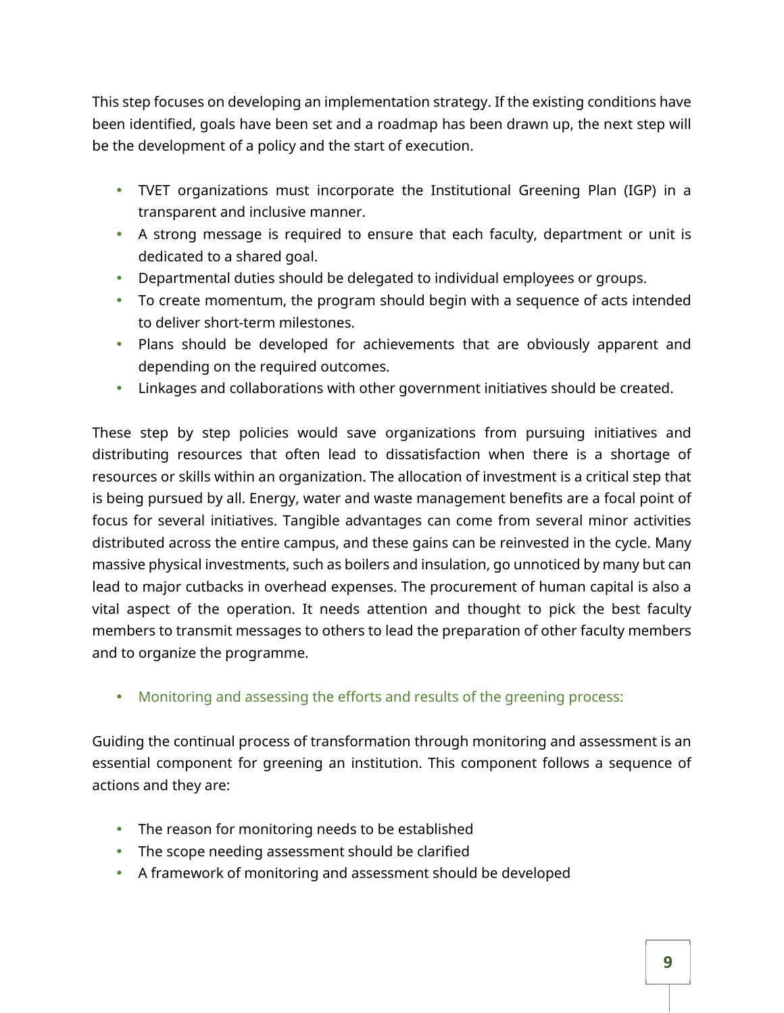This step focuses on developing an implementation strategy. If the existing conditions have been identified, goals have been set and a roadmap has been drawn up, the next step will be the development of a policy and the start of execution.

- TVET organizations must incorporate the Institutional Greening Plan (IGP) in a transparent and inclusive manner.
- A strong message is required to ensure that each faculty, department or unit is dedicated to a shared goal.
- Departmental duties should be delegated to individual employees or groups.
- To create momentum, the program should begin with a sequence of acts intended to deliver short-term milestones.
- Plans should be developed for achievements that are obviously apparent and depending on the required outcomes.
- Linkages and collaborations with other government initiatives should be created.

These step by step policies would save organizations from pursuing initiatives and distributing resources that often lead to dissatisfaction when there is a shortage of resources or skills within an organization. The allocation of investment is a critical step that is being pursued by all. Energy, water and waste management benefits are a focal point of focus for several initiatives. Tangible advantages can come from several minor activities distributed across the entire campus, and these gains can be reinvested in the cycle. Many massive physical investments, such as boilers and insulation, go unnoticed by many but can lead to major cutbacks in overhead expenses. The procurement of human capital is also a vital aspect of the operation. It needs attention and thought to pick the best faculty members to transmit messages to others to lead the preparation of other faculty members and to organize the programme.

• Monitoring and assessing the efforts and results of the greening process:

Guiding the continual process of transformation through monitoring and assessment is an essential component for greening an institution. This component follows a sequence of actions and they are:

- The reason for monitoring needs to be established
- The scope needing assessment should be clarified
- A framework of monitoring and assessment should be developed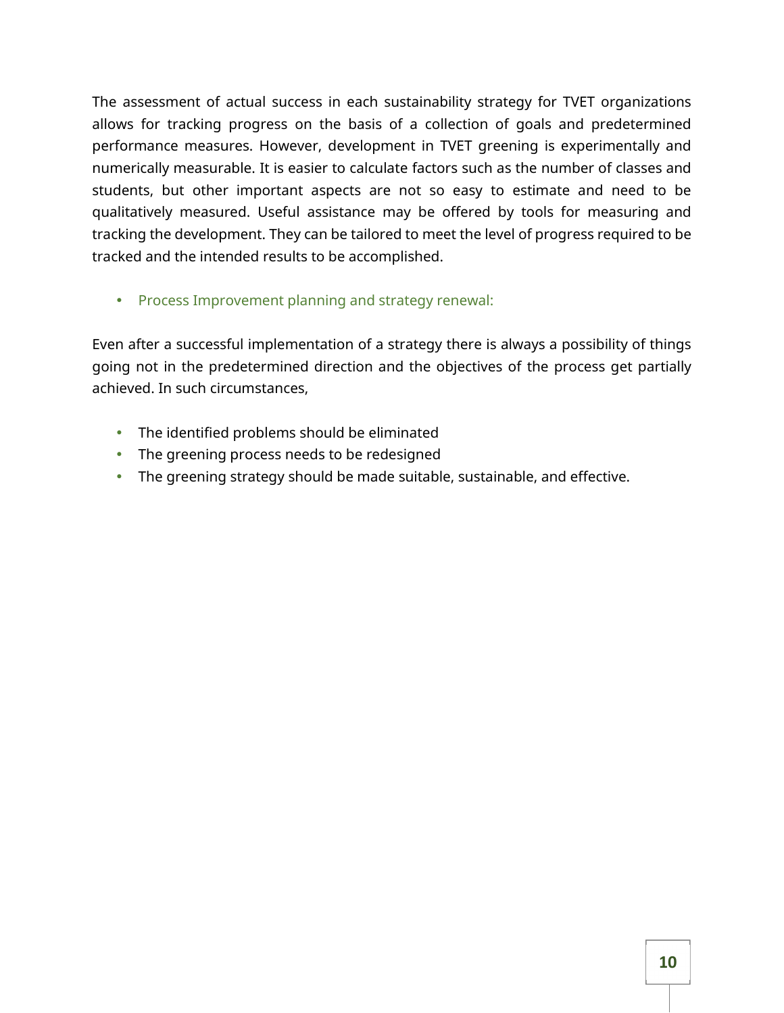The assessment of actual success in each sustainability strategy for TVET organizations allows for tracking progress on the basis of a collection of goals and predetermined performance measures. However, development in TVET greening is experimentally and numerically measurable. It is easier to calculate factors such as the number of classes and students, but other important aspects are not so easy to estimate and need to be qualitatively measured. Useful assistance may be offered by tools for measuring and tracking the development. They can be tailored to meet the level of progress required to be tracked and the intended results to be accomplished.

• Process Improvement planning and strategy renewal:

Even after a successful implementation of a strategy there is always a possibility of things going not in the predetermined direction and the objectives of the process get partially achieved. In such circumstances,

- The identified problems should be eliminated
- The greening process needs to be redesigned
- The greening strategy should be made suitable, sustainable, and effective.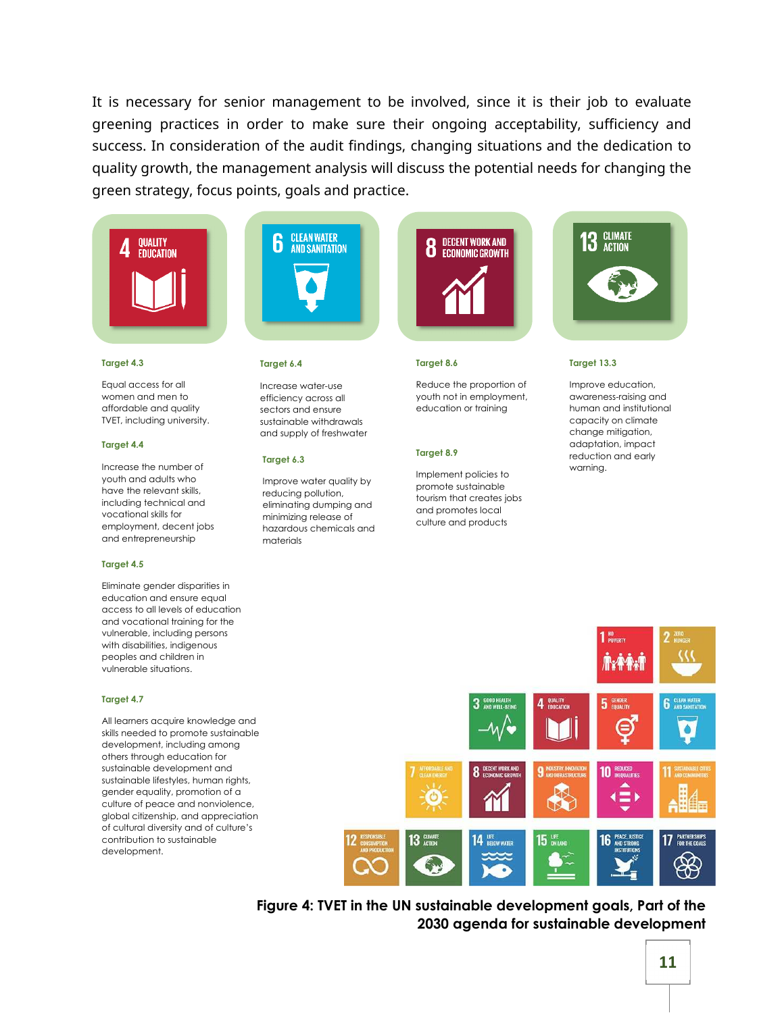It is necessary for senior management to be involved, since it is their job to evaluate greening practices in order to make sure their ongoing acceptability, sufficiency and success. In consideration of the audit findings, changing situations and the dedication to quality growth, the management analysis will discuss the potential needs for changing the green strategy, focus points, goals and practice.



#### **Target 4.3**

Equal access for all women and men to affordable and quality TVET, including university.

#### **Target 4.4**

Increase the number of youth and adults who have the relevant skills, including technical and vocational skills for employment, decent jobs and entrepreneurship

### **Target 4.5**

Eliminate gender disparities in education and ensure equal access to all levels of education and vocational training for the vulnerable, including persons with disabilities, indigenous peoples and children in vulnerable situations.

### **Target 4.7**

All learners acquire knowledge and skills needed to promote sustainable development, including among others through education for sustainable development and sustainable lifestyles, human rights, gender equality, promotion of a culture of peace and nonviolence, global citizenship, and appreciation of cultural diversity and of culture's contribution to sustainable development.



### **Target 6.4**

Increase water-use efficiency across all sectors and ensure sustainable withdrawals and supply of freshwater

#### **Target 6.3**

Improve water quality by reducing pollution, eliminating dumping and minimizing release of hazardous chemicals and materials



### **Target 8.6**

Reduce the proportion of youth not in employment, education or training

### **Target 8.9**

Implement policies to promote sustainable tourism that creates jobs and promotes local culture and products



#### **Target 13.3**

Improve education, awareness-raising and human and institutional capacity on climate change mitigation, adaptation, impact reduction and early warning.



**Figure 4: TVET in the UN sustainable development goals, Part of the 2030 agenda for sustainable development**